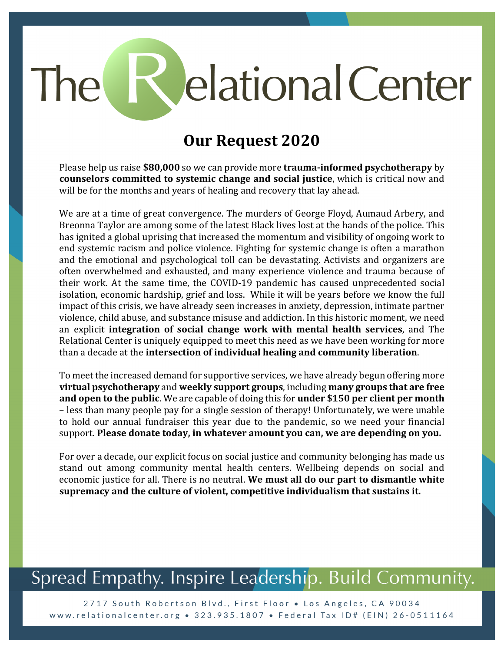# elational Center The

#### **Our Request 2020**

Please help us raise **\$80,000** so we can provide more **trauma-informed psychotherapy** by **counselors committed to systemic change and social justice**, which is critical now and will be for the months and years of healing and recovery that lay ahead.

We are at a time of great convergence. The murders of George Floyd, Aumaud Arbery, and Breonna Taylor are among some of the latest Black lives lost at the hands of the police. This has ignited a global uprising that increased the momentum and visibility of ongoing work to end systemic racism and police violence. Fighting for systemic change is often a marathon and the emotional and psychological toll can be devastating. Activists and organizers are often overwhelmed and exhausted, and many experience violence and trauma because of their work. At the same time, the COVID-19 pandemic has caused unprecedented social isolation, economic hardship, grief and loss. While it will be years before we know the full impact of this crisis, we have already seen increases in anxiety, depression, intimate partner violence, child abuse, and substance misuse and addiction. In this historic moment, we need an explicit **integration of social change work with mental health services**, and The Relational Center is uniquely equipped to meet this need as we have been working for more than a decade at the **intersection of individual healing and community liberation**.

To meet the increased demand for supportive services, we have already begun offering more **virtual psychotherapy** and **weekly support groups**, including **many groups that are free and open to the public**. We are capable of doing this for **under** \$150 per client per month – less than many people pay for a single session of therapy! Unfortunately, we were unable to hold our annual fundraiser this year due to the pandemic, so we need your financial support. Please donate today, in whatever amount you can, we are depending on you.

For over a decade, our explicit focus on social justice and community belonging has made us stand out among community mental health centers. Wellbeing depends on social and economic justice for all. There is no neutral. We must all do our part to dismantle white supremacy and the culture of violent, competitive individualism that sustains it.

## Spread Empathy. Inspire Leadership. Build Community.

2717 South Robertson Blvd., First Floor . Los Angeles, CA 90034 www.relationalcenter.org • 323.935.1807 • Federal Tax ID# (EIN) 26-0511164